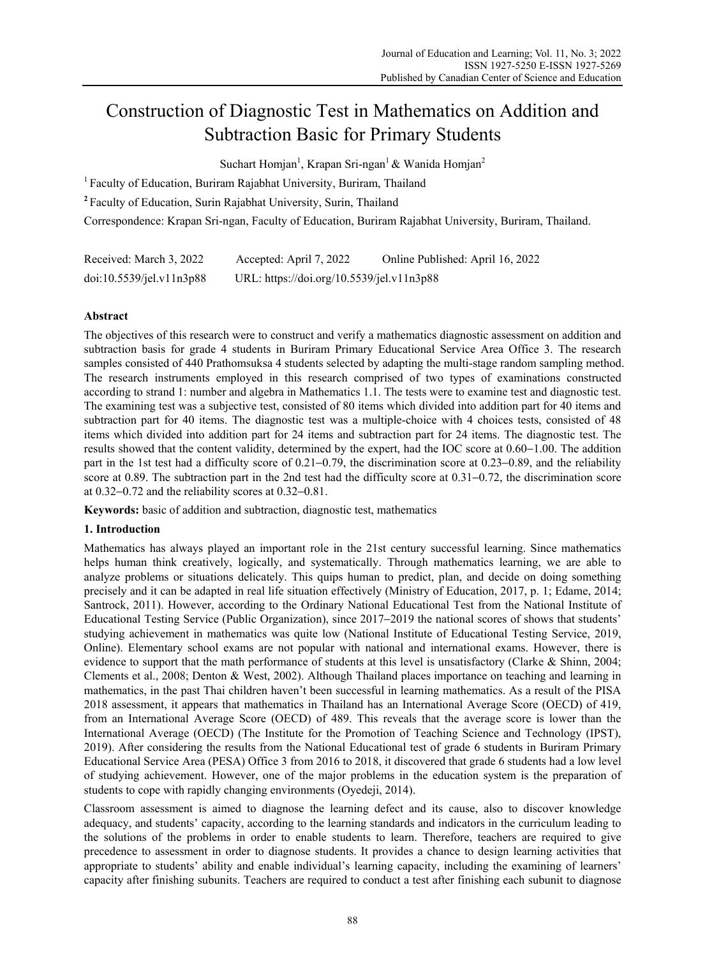# Construction of Diagnostic Test in Mathematics on Addition and Subtraction Basic for Primary Students

Suchart Homjan<sup>1</sup>, Krapan Sri-ngan<sup>1</sup> & Wanida Homjan<sup>2</sup>

<sup>1</sup> Faculty of Education, Buriram Rajabhat University, Buriram, Thailand

**<sup>2</sup>**Faculty of Education, Surin Rajabhat University, Surin, Thailand

Correspondence: Krapan Sri-ngan, Faculty of Education, Buriram Rajabhat University, Buriram, Thailand.

| Received: March 3, 2022  | Accepted: April 7, 2022                   | Online Published: April 16, 2022 |
|--------------------------|-------------------------------------------|----------------------------------|
| doi:10.5539/je1.v11n3p88 | URL: https://doi.org/10.5539/jel.v11n3p88 |                                  |

# **Abstract**

The objectives of this research were to construct and verify a mathematics diagnostic assessment on addition and subtraction basis for grade 4 students in Buriram Primary Educational Service Area Office 3. The research samples consisted of 440 Prathomsuksa 4 students selected by adapting the multi-stage random sampling method. The research instruments employed in this research comprised of two types of examinations constructed according to strand 1: number and algebra in Mathematics 1.1. The tests were to examine test and diagnostic test. The examining test was a subjective test, consisted of 80 items which divided into addition part for 40 items and subtraction part for 40 items. The diagnostic test was a multiple-choice with 4 choices tests, consisted of 48 items which divided into addition part for 24 items and subtraction part for 24 items. The diagnostic test. The results showed that the content validity, determined by the expert, had the IOC score at 0.60−1.00. The addition part in the 1st test had a difficulty score of 0.21−0.79, the discrimination score at 0.23−0.89, and the reliability score at 0.89. The subtraction part in the 2nd test had the difficulty score at 0.31–0.72, the discrimination score at 0.32−0.72 and the reliability scores at 0.32−0.81.

**Keywords:** basic of addition and subtraction, diagnostic test, mathematics

# **1. Introduction**

Mathematics has always played an important role in the 21st century successful learning. Since mathematics helps human think creatively, logically, and systematically. Through mathematics learning, we are able to analyze problems or situations delicately. This quips human to predict, plan, and decide on doing something precisely and it can be adapted in real life situation effectively (Ministry of Education, 2017, p. 1; Edame, 2014; Santrock, 2011). However, according to the Ordinary National Educational Test from the National Institute of Educational Testing Service (Public Organization), since 2017−2019 the national scores of shows that students' studying achievement in mathematics was quite low (National Institute of Educational Testing Service, 2019, Online). Elementary school exams are not popular with national and international exams. However, there is evidence to support that the math performance of students at this level is unsatisfactory (Clarke & Shinn, 2004; Clements et al., 2008; Denton & West, 2002). Although Thailand places importance on teaching and learning in mathematics, in the past Thai children haven't been successful in learning mathematics. As a result of the PISA 2018 assessment, it appears that mathematics in Thailand has an International Average Score (OECD) of 419, from an International Average Score (OECD) of 489. This reveals that the average score is lower than the International Average (OECD) (The Institute for the Promotion of Teaching Science and Technology (IPST), 2019). After considering the results from the National Educational test of grade 6 students in Buriram Primary Educational Service Area (PESA) Office 3 from 2016 to 2018, it discovered that grade 6 students had a low level of studying achievement. However, one of the major problems in the education system is the preparation of students to cope with rapidly changing environments (Oyedeji, 2014).

Classroom assessment is aimed to diagnose the learning defect and its cause, also to discover knowledge adequacy, and students' capacity, according to the learning standards and indicators in the curriculum leading to the solutions of the problems in order to enable students to learn. Therefore, teachers are required to give precedence to assessment in order to diagnose students. It provides a chance to design learning activities that appropriate to students' ability and enable individual's learning capacity, including the examining of learners' capacity after finishing subunits. Teachers are required to conduct a test after finishing each subunit to diagnose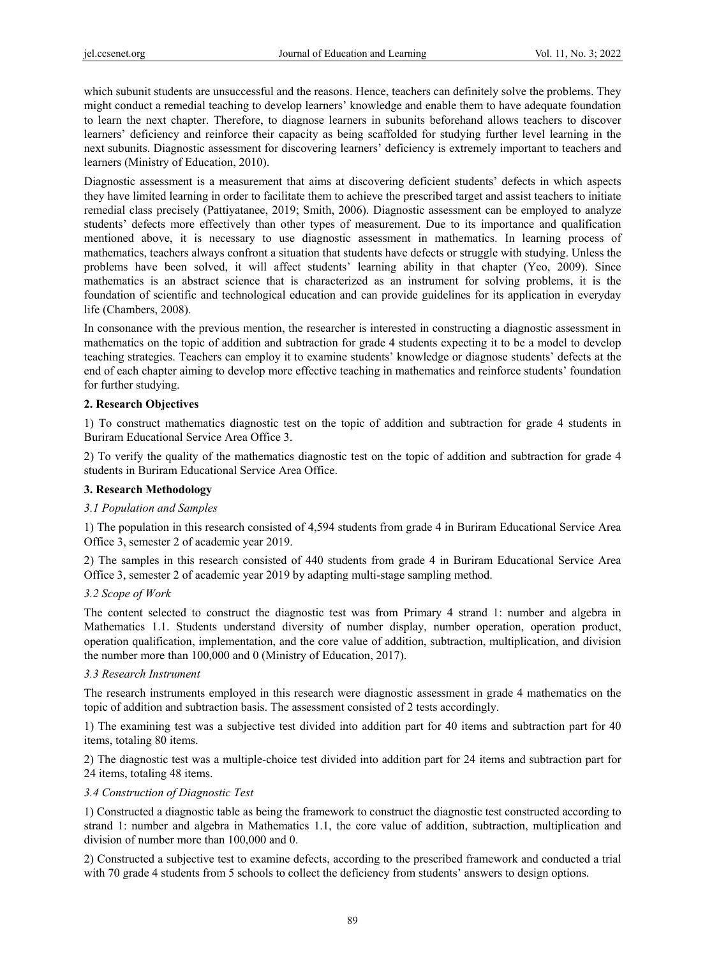which subunit students are unsuccessful and the reasons. Hence, teachers can definitely solve the problems. They might conduct a remedial teaching to develop learners' knowledge and enable them to have adequate foundation to learn the next chapter. Therefore, to diagnose learners in subunits beforehand allows teachers to discover learners' deficiency and reinforce their capacity as being scaffolded for studying further level learning in the next subunits. Diagnostic assessment for discovering learners' deficiency is extremely important to teachers and learners (Ministry of Education, 2010).

Diagnostic assessment is a measurement that aims at discovering deficient students' defects in which aspects they have limited learning in order to facilitate them to achieve the prescribed target and assist teachers to initiate remedial class precisely (Pattiyatanee, 2019; Smith, 2006). Diagnostic assessment can be employed to analyze students' defects more effectively than other types of measurement. Due to its importance and qualification mentioned above, it is necessary to use diagnostic assessment in mathematics. In learning process of mathematics, teachers always confront a situation that students have defects or struggle with studying. Unless the problems have been solved, it will affect students' learning ability in that chapter (Yeo, 2009). Since mathematics is an abstract science that is characterized as an instrument for solving problems, it is the foundation of scientific and technological education and can provide guidelines for its application in everyday life (Chambers, 2008).

In consonance with the previous mention, the researcher is interested in constructing a diagnostic assessment in mathematics on the topic of addition and subtraction for grade 4 students expecting it to be a model to develop teaching strategies. Teachers can employ it to examine students' knowledge or diagnose students' defects at the end of each chapter aiming to develop more effective teaching in mathematics and reinforce students' foundation for further studying.

# **2. Research Objectives**

1) To construct mathematics diagnostic test on the topic of addition and subtraction for grade 4 students in Buriram Educational Service Area Office 3.

2) To verify the quality of the mathematics diagnostic test on the topic of addition and subtraction for grade 4 students in Buriram Educational Service Area Office.

# **3. Research Methodology**

# *3.1 Population and Samples*

1) The population in this research consisted of 4,594 students from grade 4 in Buriram Educational Service Area Office 3, semester 2 of academic year 2019.

2) The samples in this research consisted of 440 students from grade 4 in Buriram Educational Service Area Office 3, semester 2 of academic year 2019 by adapting multi-stage sampling method.

# *3.2 Scope of Work*

The content selected to construct the diagnostic test was from Primary 4 strand 1: number and algebra in Mathematics 1.1. Students understand diversity of number display, number operation, operation product, operation qualification, implementation, and the core value of addition, subtraction, multiplication, and division the number more than 100,000 and 0 (Ministry of Education, 2017).

# *3.3 Research Instrument*

The research instruments employed in this research were diagnostic assessment in grade 4 mathematics on the topic of addition and subtraction basis. The assessment consisted of 2 tests accordingly.

1) The examining test was a subjective test divided into addition part for 40 items and subtraction part for 40 items, totaling 80 items.

2) The diagnostic test was a multiple-choice test divided into addition part for 24 items and subtraction part for 24 items, totaling 48 items.

# *3.4 Construction of Diagnostic Test*

1) Constructed a diagnostic table as being the framework to construct the diagnostic test constructed according to strand 1: number and algebra in Mathematics 1.1, the core value of addition, subtraction, multiplication and division of number more than 100,000 and 0.

2) Constructed a subjective test to examine defects, according to the prescribed framework and conducted a trial with 70 grade 4 students from 5 schools to collect the deficiency from students' answers to design options.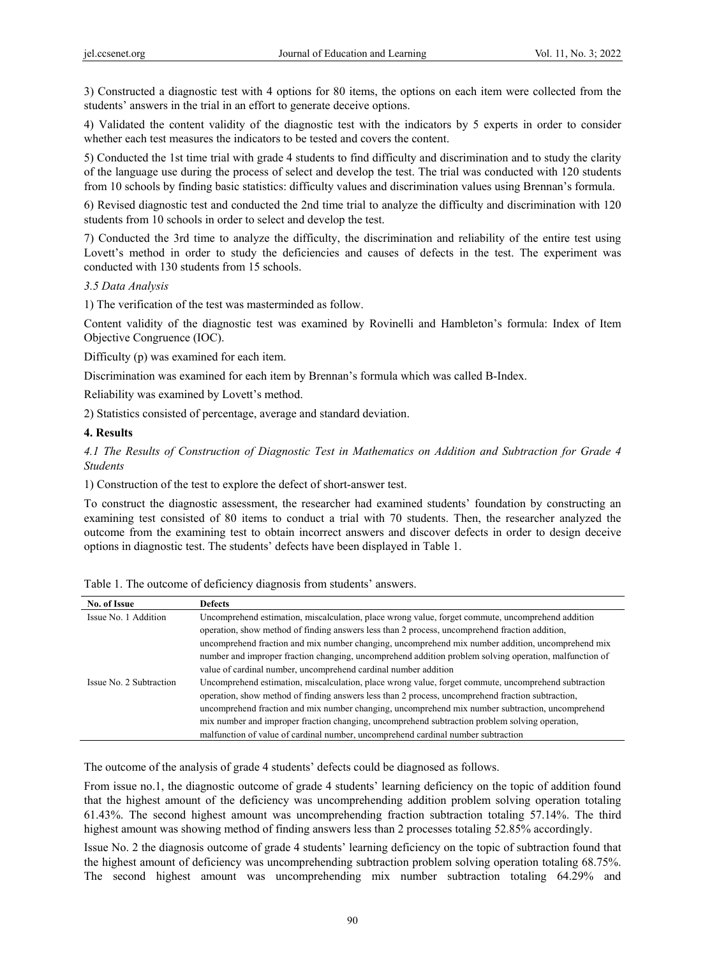3) Constructed a diagnostic test with 4 options for 80 items, the options on each item were collected from the students' answers in the trial in an effort to generate deceive options.

4) Validated the content validity of the diagnostic test with the indicators by 5 experts in order to consider whether each test measures the indicators to be tested and covers the content.

5) Conducted the 1st time trial with grade 4 students to find difficulty and discrimination and to study the clarity of the language use during the process of select and develop the test. The trial was conducted with 120 students from 10 schools by finding basic statistics: difficulty values and discrimination values using Brennan's formula.

6) Revised diagnostic test and conducted the 2nd time trial to analyze the difficulty and discrimination with 120 students from 10 schools in order to select and develop the test.

7) Conducted the 3rd time to analyze the difficulty, the discrimination and reliability of the entire test using Lovett's method in order to study the deficiencies and causes of defects in the test. The experiment was conducted with 130 students from 15 schools.

# *3.5 Data Analysis*

1) The verification of the test was masterminded as follow.

Content validity of the diagnostic test was examined by Rovinelli and Hambleton's formula: Index of Item Objective Congruence (IOC).

Difficulty (p) was examined for each item.

Discrimination was examined for each item by Brennan's formula which was called B-Index.

Reliability was examined by Lovett's method.

2) Statistics consisted of percentage, average and standard deviation.

# **4. Results**

*4.1 The Results of Construction of Diagnostic Test in Mathematics on Addition and Subtraction for Grade 4 Students* 

1) Construction of the test to explore the defect of short-answer test.

To construct the diagnostic assessment, the researcher had examined students' foundation by constructing an examining test consisted of 80 items to conduct a trial with 70 students. Then, the researcher analyzed the outcome from the examining test to obtain incorrect answers and discover defects in order to design deceive options in diagnostic test. The students' defects have been displayed in Table 1.

| No. of Issue            | <b>Defects</b>                                                                                         |
|-------------------------|--------------------------------------------------------------------------------------------------------|
| Issue No. 1 Addition    | Uncomprehend estimation, miscalculation, place wrong value, forget commute, uncomprehend addition      |
|                         | operation, show method of finding answers less than 2 process, uncomprehend fraction addition,         |
|                         | uncomprehend fraction and mix number changing, uncomprehend mix number addition, uncomprehend mix      |
|                         | number and improper fraction changing, uncomprehend addition problem solving operation, malfunction of |
|                         | value of cardinal number, uncomprehend cardinal number addition                                        |
| Issue No. 2 Subtraction | Uncomprehend estimation, miscalculation, place wrong value, forget commute, uncomprehend subtraction   |
|                         | operation, show method of finding answers less than 2 process, uncomprehend fraction subtraction,      |
|                         | uncomprehend fraction and mix number changing, uncomprehend mix number subtraction, uncomprehend       |
|                         | mix number and improper fraction changing, uncomprehend subtraction problem solving operation,         |
|                         | malfunction of value of cardinal number, uncomprehend cardinal number subtraction                      |

Table 1. The outcome of deficiency diagnosis from students' answers.

The outcome of the analysis of grade 4 students' defects could be diagnosed as follows.

From issue no.1, the diagnostic outcome of grade 4 students' learning deficiency on the topic of addition found that the highest amount of the deficiency was uncomprehending addition problem solving operation totaling 61.43%. The second highest amount was uncomprehending fraction subtraction totaling 57.14%. The third highest amount was showing method of finding answers less than 2 processes totaling 52.85% accordingly.

Issue No. 2 the diagnosis outcome of grade 4 students' learning deficiency on the topic of subtraction found that the highest amount of deficiency was uncomprehending subtraction problem solving operation totaling 68.75%. The second highest amount was uncomprehending mix number subtraction totaling 64.29% and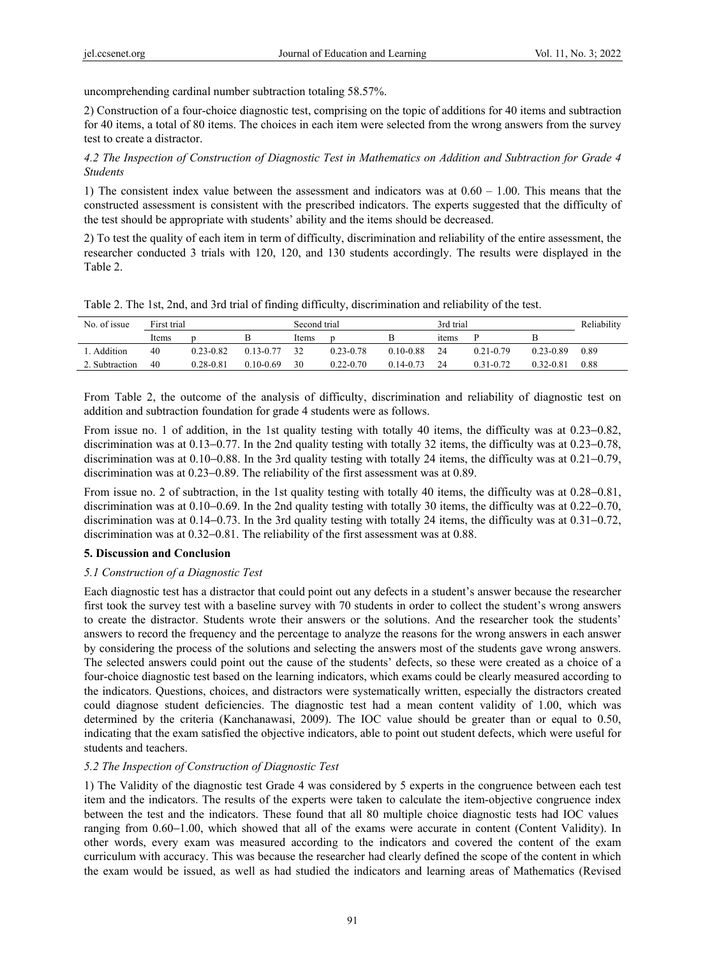uncomprehending cardinal number subtraction totaling 58.57%.

2) Construction of a four-choice diagnostic test, comprising on the topic of additions for 40 items and subtraction for 40 items, a total of 80 items. The choices in each item were selected from the wrong answers from the survey test to create a distractor.

*4.2 The Inspection of Construction of Diagnostic Test in Mathematics on Addition and Subtraction for Grade 4 Students* 

1) The consistent index value between the assessment and indicators was at 0.60 – 1.00. This means that the constructed assessment is consistent with the prescribed indicators. The experts suggested that the difficulty of the test should be appropriate with students' ability and the items should be decreased.

2) To test the quality of each item in term of difficulty, discrimination and reliability of the entire assessment, the researcher conducted 3 trials with 120, 120, and 130 students accordingly. The results were displayed in the Table 2.

| Table 2. The 1st, 2nd, and 3rd trial of finding difficulty, discrimination and reliability of the test. |  |  |
|---------------------------------------------------------------------------------------------------------|--|--|
|                                                                                                         |  |  |

| No. of issue   | First trial |               | Second trial |       | 3rd trial     |               | Reliability       |             |           |      |
|----------------|-------------|---------------|--------------|-------|---------------|---------------|-------------------|-------------|-----------|------|
|                | Items       |               |              | Items |               |               | <sub>1</sub> tems |             |           |      |
| . Addition     | 40          | 0.23-0.82     | 0 13-0 77    | 32    | 0 23-0 78     | 0 10-0 88     | 24                | 0 21 - 0 79 | 0 23-0 89 | 0.89 |
| 2. Subtraction | 40          | $0.28 - 0.81$ | $010-069$    | 30    | $0.22 - 0.70$ | $0.14 - 0.73$ | 24                | 0.31-0.72   | 0.32-0.81 | 0.88 |

From Table 2, the outcome of the analysis of difficulty, discrimination and reliability of diagnostic test on addition and subtraction foundation for grade 4 students were as follows.

From issue no. 1 of addition, in the 1st quality testing with totally 40 items, the difficulty was at 0.23−0.82, discrimination was at 0.13−0.77. In the 2nd quality testing with totally 32 items, the difficulty was at 0.23−0.78, discrimination was at 0.10−0.88. In the 3rd quality testing with totally 24 items, the difficulty was at 0.21−0.79, discrimination was at 0.23−0.89. The reliability of the first assessment was at 0.89.

From issue no. 2 of subtraction, in the 1st quality testing with totally 40 items, the difficulty was at 0.28−0.81, discrimination was at 0.10−0.69. In the 2nd quality testing with totally 30 items, the difficulty was at 0.22−0.70, discrimination was at 0.14−0.73. In the 3rd quality testing with totally 24 items, the difficulty was at 0.31−0.72, discrimination was at 0.32−0.81. The reliability of the first assessment was at 0.88.

# **5. Discussion and Conclusion**

# *5.1 Construction of a Diagnostic Test*

Each diagnostic test has a distractor that could point out any defects in a student's answer because the researcher first took the survey test with a baseline survey with 70 students in order to collect the student's wrong answers to create the distractor. Students wrote their answers or the solutions. And the researcher took the students' answers to record the frequency and the percentage to analyze the reasons for the wrong answers in each answer by considering the process of the solutions and selecting the answers most of the students gave wrong answers. The selected answers could point out the cause of the students' defects, so these were created as a choice of a four-choice diagnostic test based on the learning indicators, which exams could be clearly measured according to the indicators. Questions, choices, and distractors were systematically written, especially the distractors created could diagnose student deficiencies. The diagnostic test had a mean content validity of 1.00, which was determined by the criteria (Kanchanawasi, 2009). The IOC value should be greater than or equal to 0.50, indicating that the exam satisfied the objective indicators, able to point out student defects, which were useful for students and teachers.

# *5.2 The Inspection of Construction of Diagnostic Test*

1) The Validity of the diagnostic test Grade 4 was considered by 5 experts in the congruence between each test item and the indicators. The results of the experts were taken to calculate the item-objective congruence index between the test and the indicators. These found that all 80 multiple choice diagnostic tests had IOC values ranging from 0.60−1.00, which showed that all of the exams were accurate in content (Content Validity). In other words, every exam was measured according to the indicators and covered the content of the exam curriculum with accuracy. This was because the researcher had clearly defined the scope of the content in which the exam would be issued, as well as had studied the indicators and learning areas of Mathematics (Revised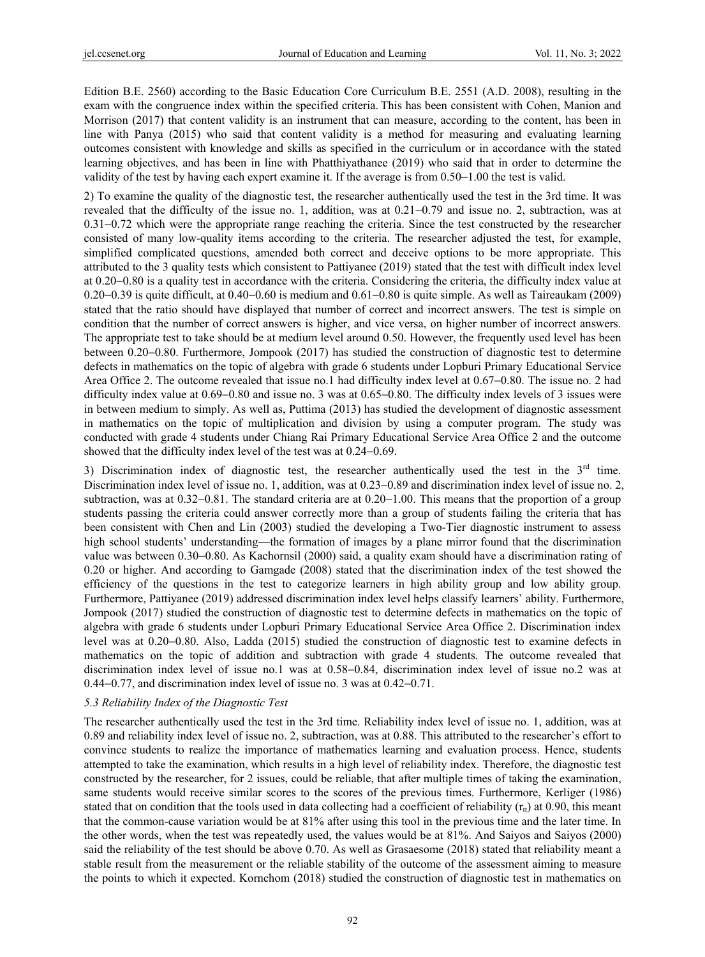Edition B.E. 2560) according to the Basic Education Core Curriculum B.E. 2551 (A.D. 2008), resulting in the exam with the congruence index within the specified criteria. This has been consistent with Cohen, Manion and Morrison (2017) that content validity is an instrument that can measure, according to the content, has been in line with Panya (2015) who said that content validity is a method for measuring and evaluating learning outcomes consistent with knowledge and skills as specified in the curriculum or in accordance with the stated learning objectives, and has been in line with Phatthiyathanee (2019) who said that in order to determine the validity of the test by having each expert examine it. If the average is from 0.50−1.00 the test is valid.

2) To examine the quality of the diagnostic test, the researcher authentically used the test in the 3rd time. It was revealed that the difficulty of the issue no. 1, addition, was at 0.21−0.79 and issue no. 2, subtraction, was at 0.31−0.72 which were the appropriate range reaching the criteria. Since the test constructed by the researcher consisted of many low-quality items according to the criteria. The researcher adjusted the test, for example, simplified complicated questions, amended both correct and deceive options to be more appropriate. This attributed to the 3 quality tests which consistent to Pattiyanee (2019) stated that the test with difficult index level at 0.20−0.80 is a quality test in accordance with the criteria. Considering the criteria, the difficulty index value at 0.20−0.39 is quite difficult, at 0.40−0.60 is medium and 0.61−0.80 is quite simple. As well as Taireaukam (2009) stated that the ratio should have displayed that number of correct and incorrect answers. The test is simple on condition that the number of correct answers is higher, and vice versa, on higher number of incorrect answers. The appropriate test to take should be at medium level around 0.50. However, the frequently used level has been between 0.20−0.80. Furthermore, Jompook (2017) has studied the construction of diagnostic test to determine defects in mathematics on the topic of algebra with grade 6 students under Lopburi Primary Educational Service Area Office 2. The outcome revealed that issue no.1 had difficulty index level at 0.67−0.80. The issue no. 2 had difficulty index value at 0.69−0.80 and issue no. 3 was at 0.65−0.80. The difficulty index levels of 3 issues were in between medium to simply. As well as, Puttima (2013) has studied the development of diagnostic assessment in mathematics on the topic of multiplication and division by using a computer program. The study was conducted with grade 4 students under Chiang Rai Primary Educational Service Area Office 2 and the outcome showed that the difficulty index level of the test was at 0.24−0.69.

3) Discrimination index of diagnostic test, the researcher authentically used the test in the  $3<sup>rd</sup>$  time. Discrimination index level of issue no. 1, addition, was at 0.23−0.89 and discrimination index level of issue no. 2, subtraction, was at 0.32−0.81. The standard criteria are at 0.20−1.00. This means that the proportion of a group students passing the criteria could answer correctly more than a group of students failing the criteria that has been consistent with Chen and Lin (2003) studied the developing a Two-Tier diagnostic instrument to assess high school students' understanding—the formation of images by a plane mirror found that the discrimination value was between 0.30−0.80. As Kachornsil (2000) said, a quality exam should have a discrimination rating of 0.20 or higher. And according to Gamgade (2008) stated that the discrimination index of the test showed the efficiency of the questions in the test to categorize learners in high ability group and low ability group. Furthermore, Pattiyanee (2019) addressed discrimination index level helps classify learners' ability. Furthermore, Jompook (2017) studied the construction of diagnostic test to determine defects in mathematics on the topic of algebra with grade 6 students under Lopburi Primary Educational Service Area Office 2. Discrimination index level was at 0.20−0.80. Also, Ladda (2015) studied the construction of diagnostic test to examine defects in mathematics on the topic of addition and subtraction with grade 4 students. The outcome revealed that discrimination index level of issue no.1 was at 0.58−0.84, discrimination index level of issue no.2 was at 0.44−0.77, and discrimination index level of issue no. 3 was at 0.42−0.71.

#### *5.3 Reliability Index of the Diagnostic Test*

The researcher authentically used the test in the 3rd time. Reliability index level of issue no. 1, addition, was at 0.89 and reliability index level of issue no. 2, subtraction, was at 0.88. This attributed to the researcher's effort to convince students to realize the importance of mathematics learning and evaluation process. Hence, students attempted to take the examination, which results in a high level of reliability index. Therefore, the diagnostic test constructed by the researcher, for 2 issues, could be reliable, that after multiple times of taking the examination, same students would receive similar scores to the scores of the previous times. Furthermore, Kerliger (1986) stated that on condition that the tools used in data collecting had a coefficient of reliability  $(r<sub>tt</sub>)$  at 0.90, this meant that the common-cause variation would be at 81% after using this tool in the previous time and the later time. In the other words, when the test was repeatedly used, the values would be at 81%. And Saiyos and Saiyos (2000) said the reliability of the test should be above 0.70. As well as Grasaesome (2018) stated that reliability meant a stable result from the measurement or the reliable stability of the outcome of the assessment aiming to measure the points to which it expected. Kornchom (2018) studied the construction of diagnostic test in mathematics on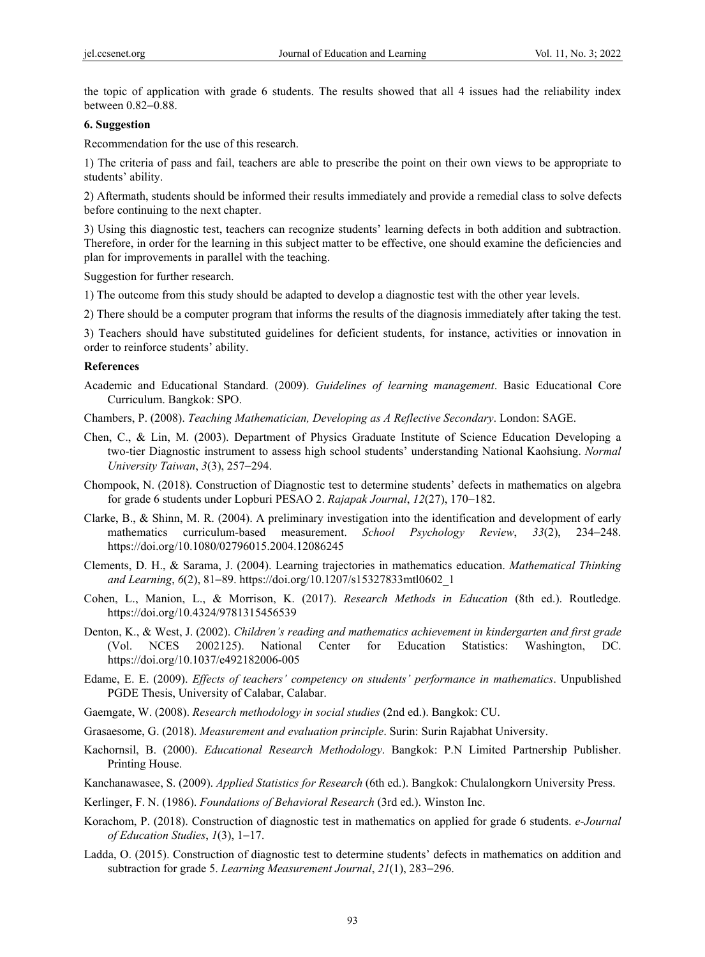the topic of application with grade 6 students. The results showed that all 4 issues had the reliability index between 0.82−0.88.

#### **6. Suggestion**

Recommendation for the use of this research.

1) The criteria of pass and fail, teachers are able to prescribe the point on their own views to be appropriate to students' ability.

2) Aftermath, students should be informed their results immediately and provide a remedial class to solve defects before continuing to the next chapter.

3) Using this diagnostic test, teachers can recognize students' learning defects in both addition and subtraction. Therefore, in order for the learning in this subject matter to be effective, one should examine the deficiencies and plan for improvements in parallel with the teaching.

Suggestion for further research.

- 1) The outcome from this study should be adapted to develop a diagnostic test with the other year levels.
- 2) There should be a computer program that informs the results of the diagnosis immediately after taking the test.

3) Teachers should have substituted guidelines for deficient students, for instance, activities or innovation in order to reinforce students' ability.

#### **References**

- Academic and Educational Standard. (2009). *Guidelines of learning management*. Basic Educational Core Curriculum. Bangkok: SPO.
- Chambers, P. (2008). *Teaching Mathematician, Developing as A Reflective Secondary*. London: SAGE.
- Chen, C., & Lin, M. (2003). Department of Physics Graduate Institute of Science Education Developing a two-tier Diagnostic instrument to assess high school students' understanding National Kaohsiung. *Normal University Taiwan*, *3*(3), 257−294.
- Chompook, N. (2018). Construction of Diagnostic test to determine students' defects in mathematics on algebra for grade 6 students under Lopburi PESAO 2. *Rajapak Journal*, *12*(27), 170−182.
- Clarke, B., & Shinn, M. R. (2004). A preliminary investigation into the identification and development of early mathematics curriculum-based measurement. *School Psychology Review*, *33*(2), 234−248. https://doi.org/10.1080/02796015.2004.12086245
- Clements, D. H., & Sarama, J. (2004). Learning trajectories in mathematics education. *Mathematical Thinking and Learning*, *6*(2), 81−89. https://doi.org/10.1207/s15327833mtl0602\_1
- Cohen, L., Manion, L., & Morrison, K. (2017). *Research Methods in Education* (8th ed.). Routledge. https://doi.org/10.4324/9781315456539
- Denton, K., & West, J. (2002). *Children's reading and mathematics achievement in kindergarten and first grade* (Vol. NCES 2002125). National Center for Education Statistics: Washington, DC. https://doi.org/10.1037/e492182006-005
- Edame, E. E. (2009). *Effects of teachers' competency on students' performance in mathematics*. Unpublished PGDE Thesis, University of Calabar, Calabar.
- Gaemgate, W. (2008). *Research methodology in social studies* (2nd ed.). Bangkok: CU.
- Grasaesome, G. (2018). *Measurement and evaluation principle*. Surin: Surin Rajabhat University.
- Kachornsil, B. (2000). *Educational Research Methodology*. Bangkok: P.N Limited Partnership Publisher. Printing House.
- Kanchanawasee, S. (2009). *Applied Statistics for Research* (6th ed.). Bangkok: Chulalongkorn University Press.

Kerlinger, F. N. (1986). *Foundations of Behavioral Research* (3rd ed.). Winston Inc.

- Korachom, P. (2018). Construction of diagnostic test in mathematics on applied for grade 6 students. *e-Journal of Education Studies*, *1*(3), 1−17.
- Ladda, O. (2015). Construction of diagnostic test to determine students' defects in mathematics on addition and subtraction for grade 5. *Learning Measurement Journal*, *21*(1), 283−296.